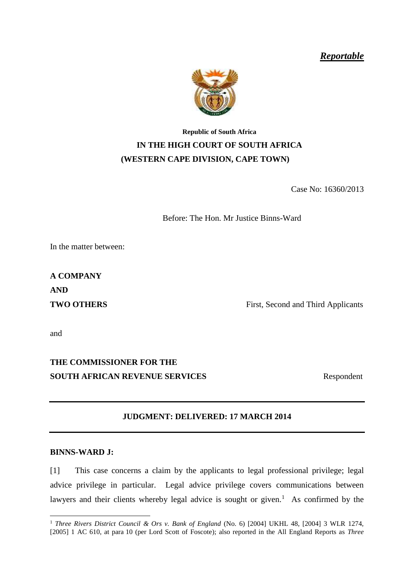*Reportable*



## <span id="page-0-1"></span>**Republic of South Africa IN THE HIGH COURT OF SOUTH AFRICA (WESTERN CAPE DIVISION, CAPE TOWN)**

Case No: 16360/2013

Before: The Hon. Mr Justice Binns-Ward

In the matter between:

**A COMPANY AND**

**TWO OTHERS** First, Second and Third Applicants

and

## **THE COMMISSIONER FOR THE SOUTH AFRICAN REVENUE SERVICES** Respondent

<span id="page-0-0"></span>

## **JUDGMENT: DELIVERED: 17 MARCH 2014**

## **BINNS-WARD J:**

[1] This case concerns a claim by the applicants to legal professional privilege; legal advice privilege in particular. Legal advice privilege covers communications between lawyers and their clients whereby legal advice is sought or given.<sup>1</sup> As confirmed by the

<sup>&</sup>lt;u>.</u> <sup>1</sup> *Three Rivers District Council & Ors v. Bank of England* (No. 6) [2004] UKHL 48, [2004] 3 WLR 1274, [2005] 1 AC 610, at para 10 (per Lord Scott of Foscote); also reported in the All England Reports as *Three*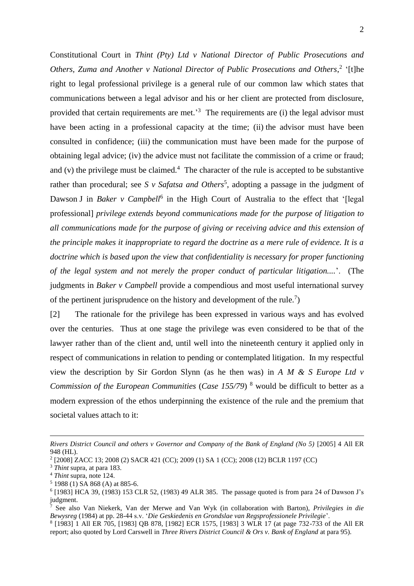Constitutional Court in *Thint (Pty) Ltd v National Director of Public Prosecutions and*  Others, Zuma and Another v National Director of Public Prosecutions and Others,<sup>2</sup> '[t]he right to legal professional privilege is a general rule of our common law which states that communications between a legal advisor and his or her client are protected from disclosure, provided that certain requirements are met.<sup>3</sup> The requirements are (i) the legal advisor must have been acting in a professional capacity at the time; (ii) the advisor must have been consulted in confidence; (iii) the communication must have been made for the purpose of obtaining legal advice; (iv) the advice must not facilitate the commission of a crime or fraud; and (v) the privilege must be claimed. $4$  The character of the rule is accepted to be substantive rather than procedural; see *S v Safatsa and Others*<sup>5</sup>, adopting a passage in the judgment of Dawson J in *Baker v Campbell*<sup>6</sup> in the High Court of Australia to the effect that '[legal professional] *privilege extends beyond communications made for the purpose of litigation to all communications made for the purpose of giving or receiving advice and this extension of the principle makes it inappropriate to regard the doctrine as a mere rule of evidence. It is a doctrine which is based upon the view that confidentiality is necessary for proper functioning of the legal system and not merely the proper conduct of particular litigation....*'. (The judgments in *Baker v Campbell* provide a compendious and most useful international survey of the pertinent jurisprudence on the history and development of the rule.<sup>7</sup>)

[2] The rationale for the privilege has been expressed in various ways and has evolved over the centuries. Thus at one stage the privilege was even considered to be that of the lawyer rather than of the client and, until well into the nineteenth century it applied only in respect of communications in relation to pending or contemplated litigation. In my respectful view the description by Sir Gordon Slynn (as he then was) in *A M & S Europe Ltd v Commission of the European Communities* (*Case 155/79*) <sup>8</sup> would be difficult to better as a modern expression of the ethos underpinning the existence of the rule and the premium that societal values attach to it:

*Rivers District Council and others v Governor and Company of the Bank of England (No 5)* [2005] 4 All ER 948 (HL).

<sup>2</sup> [2008] ZACC 13; 2008 (2) SACR 421 (CC); 2009 (1) SA 1 (CC); 2008 (12) BCLR 1197 (CC)

<sup>3</sup> *Thint* supra, at para 183.

<sup>4</sup> *Thint* supra, note 124.

<sup>5</sup> 1988 (1) SA 868 (A) at 885-6.

<sup>6</sup> [1983] HCA 39, (1983) 153 CLR 52, (1983) 49 ALR 385. The passage quoted is from para 24 of Dawson J's judgment.

<sup>7</sup> See also Van Niekerk, Van der Merwe and Van Wyk (in collaboration with Barton), *Privilegies in die Bewysreg* (1984) at pp. 28-44 s.v. '*Die Geskiedenis en Grondslae van Regsprofessionele Privilegie*'.

<sup>8</sup> [1983] 1 All ER 705, [1983] QB 878, [1982] ECR 1575, [1983] 3 WLR 17 (at page 732-733 of the All ER report; also quoted by Lord Carswell in *Three Rivers District Council & Ors v. Bank of England* at para 95).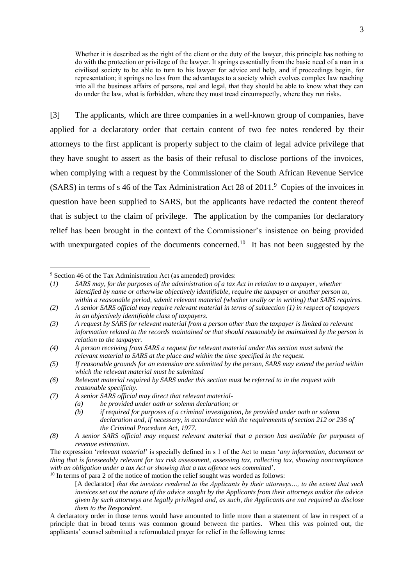Whether it is described as the right of the client or the duty of the lawyer, this principle has nothing to do with the protection or privilege of the lawyer. It springs essentially from the basic need of a man in a civilised society to be able to turn to his lawyer for advice and help, and if proceedings begin, for representation; it springs no less from the advantages to a society which evolves complex law reaching into all the business affairs of persons, real and legal, that they should be able to know what they can do under the law, what is forbidden, where they must tread circumspectly, where they run risks.

[3] The applicants, which are three companies in a well-known group of companies, have applied for a declaratory order that certain content of two fee notes rendered by their attorneys to the first applicant is properly subject to the claim of legal advice privilege that they have sought to assert as the basis of their refusal to disclose portions of the invoices, when complying with a request by the Commissioner of the South African Revenue Service  $(SARS)$  in terms of s 46 of the Tax Administration Act 28 of 2011.<sup>9</sup> Copies of the invoices in question have been supplied to SARS, but the applicants have redacted the content thereof that is subject to the claim of privilege. The application by the companies for declaratory relief has been brought in the context of the Commissioner's insistence on being provided with unexpurgated copies of the documents concerned.<sup>10</sup> It has not been suggested by the

<u>.</u>

- *(7) A senior SARS official may direct that relevant material-*
	- *(a) be provided under oath or solemn declaration; or*

 $10$  In terms of para 2 of the notice of motion the relief sought was worded as follows:

<sup>9</sup> Section 46 of the Tax Administration Act (as amended) provides:

<sup>(</sup>*1) SARS may, for the purposes of the administration of a tax Act in relation to a taxpayer, whether identified by name or otherwise objectively identifiable, require the taxpayer or another person to, within a reasonable period, submit relevant material (whether orally or in writing) that SARS requires.*

*<sup>(2)</sup> A senior SARS official may require relevant material in terms of subsection (1) in respect of taxpayers in an objectively identifiable class of taxpayers.*

*<sup>(3)</sup> A request by SARS for relevant material from a person other than the taxpayer is limited to relevant information related to the records maintained or that should reasonably be maintained by the person in relation to the taxpayer.*

*<sup>(4)</sup> A person receiving from SARS a request for relevant material under this section must submit the relevant material to SARS at the place and within the time specified in the request.*

*<sup>(5)</sup> If reasonable grounds for an extension are submitted by the person, SARS may extend the period within which the relevant material must be submitted*

*<sup>(6)</sup> Relevant material required by SARS under this section must be referred to in the request with reasonable specificity.*

*<sup>(</sup>b) if required for purposes of a criminal investigation, be provided under oath or solemn declaration and, if necessary, in accordance with the requirements of section 212 or 236 of the Criminal Procedure Act, 1977.*

*<sup>(8)</sup> A senior SARS official may request relevant material that a person has available for purposes of revenue estimation.*

The expression '*relevant material*' is specially defined in s 1 of the Act to mean '*any information, document or thing that is foreseeably relevant for tax risk assessment, assessing tax, collecting tax, showing noncompliance with an obligation under a tax Act or showing that a tax offence was committed*'.

<sup>[</sup>A declarator] *that the invoices rendered to the Applicants by their attorneys…, to the extent that such invoices set out the nature of the advice sought by the Applicants from their attorneys and/or the advice given by such attorneys are legally privileged and, as such, the Applicants are not required to disclose them to the Respondent*.

A declaratory order in those terms would have amounted to little more than a statement of law in respect of a principle that in broad terms was common ground between the parties. When this was pointed out, the applicants' counsel submitted a reformulated prayer for relief in the following terms: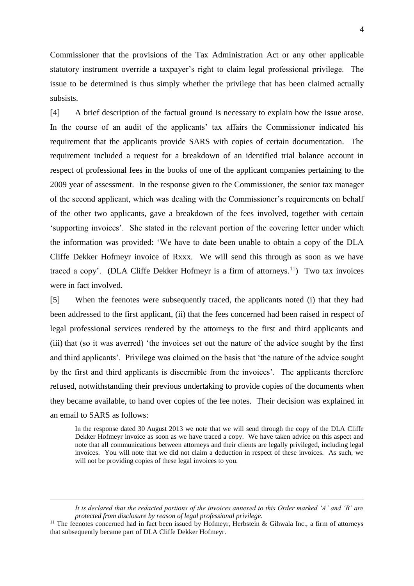Commissioner that the provisions of the Tax Administration Act or any other applicable statutory instrument override a taxpayer's right to claim legal professional privilege. The issue to be determined is thus simply whether the privilege that has been claimed actually subsists.

[4] A brief description of the factual ground is necessary to explain how the issue arose. In the course of an audit of the applicants' tax affairs the Commissioner indicated his requirement that the applicants provide SARS with copies of certain documentation. The requirement included a request for a breakdown of an identified trial balance account in respect of professional fees in the books of one of the applicant companies pertaining to the 2009 year of assessment. In the response given to the Commissioner, the senior tax manager of the second applicant, which was dealing with the Commissioner's requirements on behalf of the other two applicants, gave a breakdown of the fees involved, together with certain 'supporting invoices'. She stated in the relevant portion of the covering letter under which the information was provided: 'We have to date been unable to obtain a copy of the DLA Cliffe Dekker Hofmeyr invoice of Rxxx. We will send this through as soon as we have traced a copy'. (DLA Cliffe Dekker Hofmeyr is a firm of attorneys.<sup>11</sup>) Two tax invoices were in fact involved.

[5] When the feenotes were subsequently traced, the applicants noted (i) that they had been addressed to the first applicant, (ii) that the fees concerned had been raised in respect of legal professional services rendered by the attorneys to the first and third applicants and (iii) that (so it was averred) 'the invoices set out the nature of the advice sought by the first and third applicants'. Privilege was claimed on the basis that 'the nature of the advice sought by the first and third applicants is discernible from the invoices'. The applicants therefore refused, notwithstanding their previous undertaking to provide copies of the documents when they became available, to hand over copies of the fee notes. Their decision was explained in an email to SARS as follows:

In the response dated 30 August 2013 we note that we will send through the copy of the DLA Cliffe Dekker Hofmeyr invoice as soon as we have traced a copy. We have taken advice on this aspect and note that all communications between attorneys and their clients are legally privileged, including legal invoices. You will note that we did not claim a deduction in respect of these invoices. As such, we will not be providing copies of these legal invoices to you.

*It is declared that the redacted portions of the invoices annexed to this Order marked 'A' and 'B' are protected from disclosure by reason of legal professional privilege*.

 $11$  The feenotes concerned had in fact been issued by Hofmeyr, Herbstein & Gihwala Inc., a firm of attorneys that subsequently became part of DLA Cliffe Dekker Hofmeyr.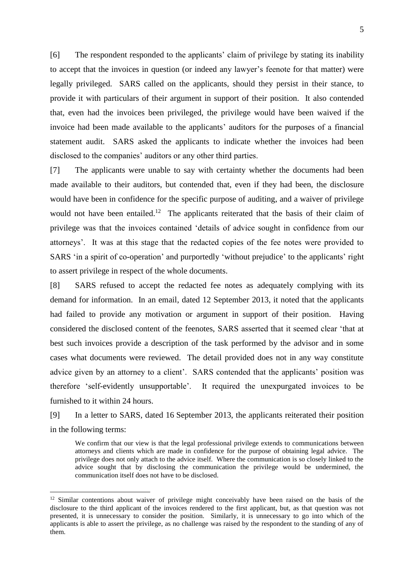[6] The respondent responded to the applicants' claim of privilege by stating its inability to accept that the invoices in question (or indeed any lawyer's feenote for that matter) were legally privileged. SARS called on the applicants, should they persist in their stance, to provide it with particulars of their argument in support of their position. It also contended that, even had the invoices been privileged, the privilege would have been waived if the invoice had been made available to the applicants' auditors for the purposes of a financial statement audit. SARS asked the applicants to indicate whether the invoices had been disclosed to the companies' auditors or any other third parties.

[7] The applicants were unable to say with certainty whether the documents had been made available to their auditors, but contended that, even if they had been, the disclosure would have been in confidence for the specific purpose of auditing, and a waiver of privilege would not have been entailed.<sup>12</sup> The applicants reiterated that the basis of their claim of privilege was that the invoices contained 'details of advice sought in confidence from our attorneys'. It was at this stage that the redacted copies of the fee notes were provided to SARS 'in a spirit of co-operation' and purportedly 'without prejudice' to the applicants' right to assert privilege in respect of the whole documents.

[8] SARS refused to accept the redacted fee notes as adequately complying with its demand for information. In an email, dated 12 September 2013, it noted that the applicants had failed to provide any motivation or argument in support of their position. Having considered the disclosed content of the feenotes, SARS asserted that it seemed clear 'that at best such invoices provide a description of the task performed by the advisor and in some cases what documents were reviewed. The detail provided does not in any way constitute advice given by an attorney to a client'. SARS contended that the applicants' position was therefore 'self-evidently unsupportable'. It required the unexpurgated invoices to be furnished to it within 24 hours.

[9] In a letter to SARS, dated 16 September 2013, the applicants reiterated their position in the following terms:

We confirm that our view is that the legal professional privilege extends to communications between attorneys and clients which are made in confidence for the purpose of obtaining legal advice. The privilege does not only attach to the advice itself. Where the communication is so closely linked to the advice sought that by disclosing the communication the privilege would be undermined, the communication itself does not have to be disclosed.

<sup>&</sup>lt;sup>12</sup> Similar contentions about waiver of privilege might conceivably have been raised on the basis of the disclosure to the third applicant of the invoices rendered to the first applicant, but, as that question was not presented, it is unnecessary to consider the position. Similarly, it is unnecessary to go into which of the applicants is able to assert the privilege, as no challenge was raised by the respondent to the standing of any of them.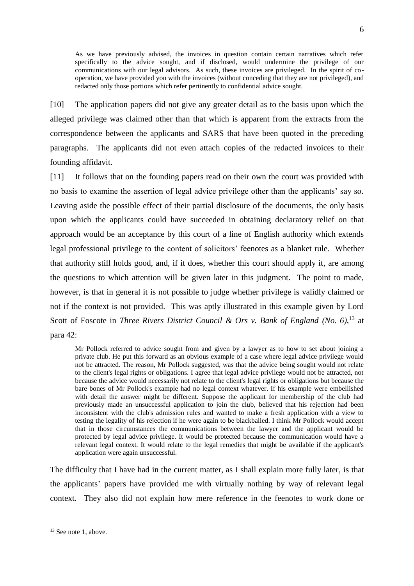As we have previously advised, the invoices in question contain certain narratives which refer specifically to the advice sought, and if disclosed, would undermine the privilege of our communications with our legal advisors. As such, these invoices are privileged. In the spirit of cooperation, we have provided you with the invoices (without conceding that they are not privileged), and redacted only those portions which refer pertinently to confidential advice sought.

[10] The application papers did not give any greater detail as to the basis upon which the alleged privilege was claimed other than that which is apparent from the extracts from the correspondence between the applicants and SARS that have been quoted in the preceding paragraphs. The applicants did not even attach copies of the redacted invoices to their founding affidavit.

[11] It follows that on the founding papers read on their own the court was provided with no basis to examine the assertion of legal advice privilege other than the applicants' say so. Leaving aside the possible effect of their partial disclosure of the documents, the only basis upon which the applicants could have succeeded in obtaining declaratory relief on that approach would be an acceptance by this court of a line of English authority which extends legal professional privilege to the content of solicitors' feenotes as a blanket rule. Whether that authority still holds good, and, if it does, whether this court should apply it, are among the questions to which attention will be given later in this judgment. The point to made, however, is that in general it is not possible to judge whether privilege is validly claimed or not if the context is not provided. This was aptly illustrated in this example given by Lord Scott of Foscote in *Three Rivers District Council & Ors v. Bank of England* (No. 6),<sup>13</sup> at para 42:

Mr Pollock referred to advice sought from and given by a lawyer as to how to set about joining a private club. He put this forward as an obvious example of a case where legal advice privilege would not be attracted. The reason, Mr Pollock suggested, was that the advice being sought would not relate to the client's legal rights or obligations. I agree that legal advice privilege would not be attracted, not because the advice would necessarily not relate to the client's legal rights or obligations but because the bare bones of Mr Pollock's example had no legal context whatever. If his example were embellished with detail the answer might be different. Suppose the applicant for membership of the club had previously made an unsuccessful application to join the club, believed that his rejection had been inconsistent with the club's admission rules and wanted to make a fresh application with a view to testing the legality of his rejection if he were again to be blackballed. I think Mr Pollock would accept that in those circumstances the communications between the lawyer and the applicant would be protected by legal advice privilege. It would be protected because the communication would have a relevant legal context. It would relate to the legal remedies that might be available if the applicant's application were again unsuccessful.

The difficulty that I have had in the current matter, as I shall explain more fully later, is that the applicants' papers have provided me with virtually nothing by way of relevant legal context. They also did not explain how mere reference in the feenotes to work done or

<sup>&</sup>lt;sup>13</sup> See not[e 1,](#page-0-0) above.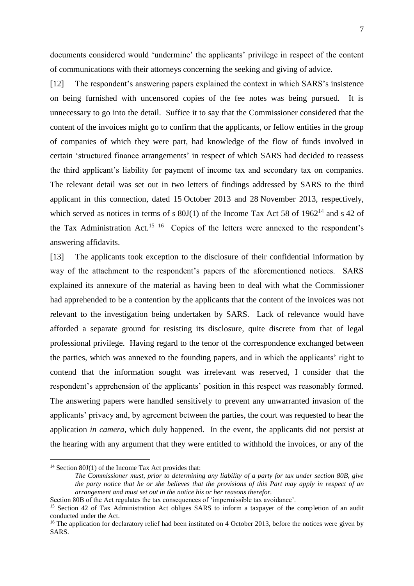documents considered would 'undermine' the applicants' privilege in respect of the content of communications with their attorneys concerning the seeking and giving of advice.

[12] The respondent's answering papers explained the context in which SARS's insistence on being furnished with uncensored copies of the fee notes was being pursued. It is unnecessary to go into the detail. Suffice it to say that the Commissioner considered that the content of the invoices might go to confirm that the applicants, or fellow entities in the group of companies of which they were part, had knowledge of the flow of funds involved in certain 'structured finance arrangements' in respect of which SARS had decided to reassess the third applicant's liability for payment of income tax and secondary tax on companies. The relevant detail was set out in two letters of findings addressed by SARS to the third applicant in this connection, dated 15 October 2013 and 28 November 2013, respectively, which served as notices in terms of s  $80J(1)$  of the Income Tax Act 58 of  $1962^{14}$  and s 42 of the Tax Administration Act.<sup>15 16</sup> Copies of the letters were annexed to the respondent's answering affidavits.

[13] The applicants took exception to the disclosure of their confidential information by way of the attachment to the respondent's papers of the aforementioned notices. SARS explained its annexure of the material as having been to deal with what the Commissioner had apprehended to be a contention by the applicants that the content of the invoices was not relevant to the investigation being undertaken by SARS. Lack of relevance would have afforded a separate ground for resisting its disclosure, quite discrete from that of legal professional privilege. Having regard to the tenor of the correspondence exchanged between the parties, which was annexed to the founding papers, and in which the applicants' right to contend that the information sought was irrelevant was reserved, I consider that the respondent's apprehension of the applicants' position in this respect was reasonably formed. The answering papers were handled sensitively to prevent any unwarranted invasion of the applicants' privacy and, by agreement between the parties, the court was requested to hear the application *in camera*, which duly happened. In the event, the applicants did not persist at the hearing with any argument that they were entitled to withhold the invoices, or any of the

 $14$  Section 80J(1) of the Income Tax Act provides that:

*The Commissioner must, prior to determining any liability of a party for tax under section 80B, give the party notice that he or she believes that the provisions of this Part may apply in respect of an arrangement and must set out in the notice his or her reasons therefor.* 

Section 80B of the Act regulates the tax consequences of 'impermissible tax avoidance'.

<sup>&</sup>lt;sup>15</sup> Section 42 of Tax Administration Act obliges SARS to inform a taxpayer of the completion of an audit conducted under the Act.

<sup>&</sup>lt;sup>16</sup> The application for declaratory relief had been instituted on 4 October 2013, before the notices were given by SARS.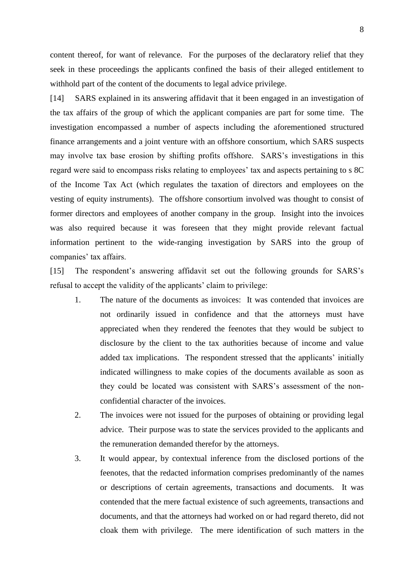content thereof, for want of relevance. For the purposes of the declaratory relief that they seek in these proceedings the applicants confined the basis of their alleged entitlement to withhold part of the content of the documents to legal advice privilege.

[14] SARS explained in its answering affidavit that it been engaged in an investigation of the tax affairs of the group of which the applicant companies are part for some time. The investigation encompassed a number of aspects including the aforementioned structured finance arrangements and a joint venture with an offshore consortium, which SARS suspects may involve tax base erosion by shifting profits offshore. SARS's investigations in this regard were said to encompass risks relating to employees' tax and aspects pertaining to s 8C of the Income Tax Act (which regulates the taxation of directors and employees on the vesting of equity instruments). The offshore consortium involved was thought to consist of former directors and employees of another company in the group. Insight into the invoices was also required because it was foreseen that they might provide relevant factual information pertinent to the wide-ranging investigation by SARS into the group of companies' tax affairs.

[15] The respondent's answering affidavit set out the following grounds for SARS's refusal to accept the validity of the applicants' claim to privilege:

- 1. The nature of the documents as invoices: It was contended that invoices are not ordinarily issued in confidence and that the attorneys must have appreciated when they rendered the feenotes that they would be subject to disclosure by the client to the tax authorities because of income and value added tax implications. The respondent stressed that the applicants' initially indicated willingness to make copies of the documents available as soon as they could be located was consistent with SARS's assessment of the nonconfidential character of the invoices.
- 2. The invoices were not issued for the purposes of obtaining or providing legal advice. Their purpose was to state the services provided to the applicants and the remuneration demanded therefor by the attorneys.
- 3. It would appear, by contextual inference from the disclosed portions of the feenotes, that the redacted information comprises predominantly of the names or descriptions of certain agreements, transactions and documents. It was contended that the mere factual existence of such agreements, transactions and documents, and that the attorneys had worked on or had regard thereto, did not cloak them with privilege. The mere identification of such matters in the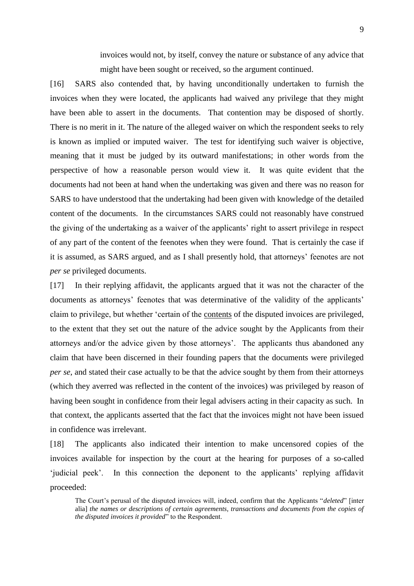invoices would not, by itself, convey the nature or substance of any advice that might have been sought or received, so the argument continued.

<span id="page-8-0"></span>[16] SARS also contended that, by having unconditionally undertaken to furnish the invoices when they were located, the applicants had waived any privilege that they might have been able to assert in the documents. That contention may be disposed of shortly. There is no merit in it. The nature of the alleged waiver on which the respondent seeks to rely is known as implied or imputed waiver. The test for identifying such waiver is objective, meaning that it must be judged by its outward manifestations; in other words from the perspective of how a reasonable person would view it. It was quite evident that the documents had not been at hand when the undertaking was given and there was no reason for SARS to have understood that the undertaking had been given with knowledge of the detailed content of the documents. In the circumstances SARS could not reasonably have construed the giving of the undertaking as a waiver of the applicants' right to assert privilege in respect of any part of the content of the feenotes when they were found. That is certainly the case if it is assumed, as SARS argued, and as I shall presently hold, that attorneys' feenotes are not *per se* privileged documents.

[17] In their replying affidavit, the applicants argued that it was not the character of the documents as attorneys' feenotes that was determinative of the validity of the applicants' claim to privilege, but whether 'certain of the contents of the disputed invoices are privileged, to the extent that they set out the nature of the advice sought by the Applicants from their attorneys and/or the advice given by those attorneys'. The applicants thus abandoned any claim that have been discerned in their founding papers that the documents were privileged *per se*, and stated their case actually to be that the advice sought by them from their attorneys (which they averred was reflected in the content of the invoices) was privileged by reason of having been sought in confidence from their legal advisers acting in their capacity as such. In that context, the applicants asserted that the fact that the invoices might not have been issued in confidence was irrelevant.

[18] The applicants also indicated their intention to make uncensored copies of the invoices available for inspection by the court at the hearing for purposes of a so-called 'judicial peek'. In this connection the deponent to the applicants' replying affidavit proceeded:

The Court's perusal of the disputed invoices will, indeed, confirm that the Applicants "*deleted*" [inter alia] *the names or descriptions of certain agreements, transactions and documents from the copies of the disputed invoices it provided*" to the Respondent.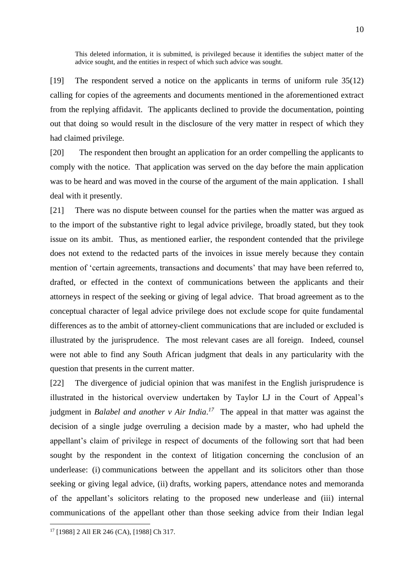This deleted information, it is submitted, is privileged because it identifies the subject matter of the advice sought, and the entities in respect of which such advice was sought.

[19] The respondent served a notice on the applicants in terms of uniform rule 35(12) calling for copies of the agreements and documents mentioned in the aforementioned extract from the replying affidavit. The applicants declined to provide the documentation, pointing out that doing so would result in the disclosure of the very matter in respect of which they had claimed privilege.

[20] The respondent then brought an application for an order compelling the applicants to comply with the notice. That application was served on the day before the main application was to be heard and was moved in the course of the argument of the main application. I shall deal with it presently.

[21] There was no dispute between counsel for the parties when the matter was argued as to the import of the substantive right to legal advice privilege, broadly stated, but they took issue on its ambit. Thus, as mentioned earlier, the respondent contended that the privilege does not extend to the redacted parts of the invoices in issue merely because they contain mention of 'certain agreements, transactions and documents' that may have been referred to, drafted, or effected in the context of communications between the applicants and their attorneys in respect of the seeking or giving of legal advice. That broad agreement as to the conceptual character of legal advice privilege does not exclude scope for quite fundamental differences as to the ambit of attorney-client communications that are included or excluded is illustrated by the jurisprudence. The most relevant cases are all foreign. Indeed, counsel were not able to find any South African judgment that deals in any particularity with the question that presents in the current matter.

[22] The divergence of judicial opinion that was manifest in the English jurisprudence is illustrated in the historical overview undertaken by Taylor LJ in the Court of Appeal's judgment in *Balabel and another v Air India*.<sup>17</sup> The appeal in that matter was against the decision of a single judge overruling a decision made by a master, who had upheld the appellant's claim of privilege in respect of documents of the following sort that had been sought by the respondent in the context of litigation concerning the conclusion of an underlease: (i) communications between the appellant and its solicitors other than those seeking or giving legal advice, (ii) drafts, working papers, attendance notes and memoranda of the appellant's solicitors relating to the proposed new underlease and (iii) internal communications of the appellant other than those seeking advice from their Indian legal

<sup>17</sup> [1988] 2 All ER 246 (CA), [1988] Ch 317.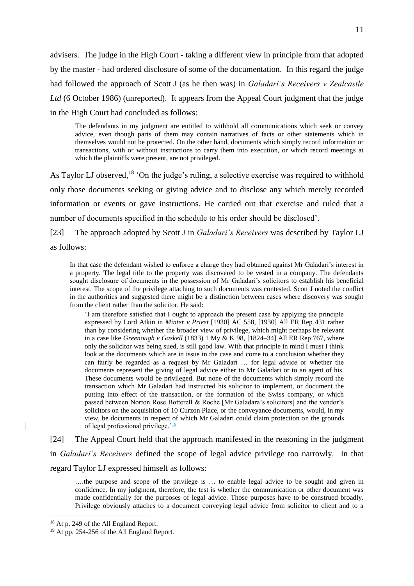advisers. The judge in the High Court - taking a different view in principle from that adopted by the master - had ordered disclosure of some of the documentation. In this regard the judge had followed the approach of Scott J (as he then was) in *Galadari's Receivers v Zealcastle*  Ltd (6 October 1986) (unreported). It appears from the Appeal Court judgment that the judge in the High Court had concluded as follows:

The defendants in my judgment are entitled to withhold all communications which seek or convey advice, even though parts of them may contain narratives of facts or other statements which in themselves would not be protected. On the other hand, documents which simply record information or transactions, with or without instructions to carry them into execution, or which record meetings at which the plaintiffs were present, are not privileged.

As Taylor LJ observed,<sup>18</sup> 'On the judge's ruling, a selective exercise was required to withhold only those documents seeking or giving advice and to disclose any which merely recorded information or events or gave instructions. He carried out that exercise and ruled that a number of documents specified in the schedule to his order should be disclosed'.

[23] The approach adopted by Scott J in *Galadari's Receivers* was described by Taylor LJ as follows:

In that case the defendant wished to enforce a charge they had obtained against Mr Galadari's interest in a property. The legal title to the property was discovered to be vested in a company. The defendants sought disclosure of documents in the possession of Mr Galadari's solicitors to establish his beneficial interest. The scope of the privilege attaching to such documents was contested. Scott J noted the conflict in the authorities and suggested there might be a distinction between cases where discovery was sought from the client rather than the solicitor. He said:

'I am therefore satisfied that I ought to approach the present case by applying the principle expressed by Lord Atkin in *Minter v Priest* [1930] AC 558, [1930] All ER Rep 431 rather than by considering whether the broader view of privilege, which might perhaps be relevant in a case like *Greenough v Gaskell* (1833) 1 My & K 98, [1824–34] All ER Rep 767, where only the solicitor was being sued, is still good law. With that principle in mind I must I think look at the documents which are in issue in the case and come to a conclusion whether they can fairly be regarded as a request by Mr Galadari … for legal advice or whether the documents represent the giving of legal advice either to Mr Galadari or to an agent of his. These documents would be privileged. But none of the documents which simply record the transaction which Mr Galadari had instructed his solicitor to implement, or document the putting into effect of the transaction, or the formation of the Swiss company, or which passed between Norton Rose Botterell & Roche [Mr Galadara's solicitors] and the vendor's solicitors on the acquisition of 10 Curzon Place, or the conveyance documents, would, in my view, be documents in respect of which Mr Galadari could claim protection on the grounds of legal professional privilege.<sup> $19$ </sup>

[24] The Appeal Court held that the approach manifested in the reasoning in the judgment in *Galadari's Receivers* defined the scope of legal advice privilege too narrowly. In that regard Taylor LJ expressed himself as follows:

….the purpose and scope of the privilege is … to enable legal advice to be sought and given in confidence. In my judgment, therefore, the test is whether the communication or other document was made confidentially for the purposes of legal advice. Those purposes have to be construed broadly. Privilege obviously attaches to a document conveying legal advice from solicitor to client and to a

<sup>&</sup>lt;sup>18</sup> At p. 249 of the All England Report.

<sup>&</sup>lt;sup>19</sup> At pp. 254-256 of the All England Report.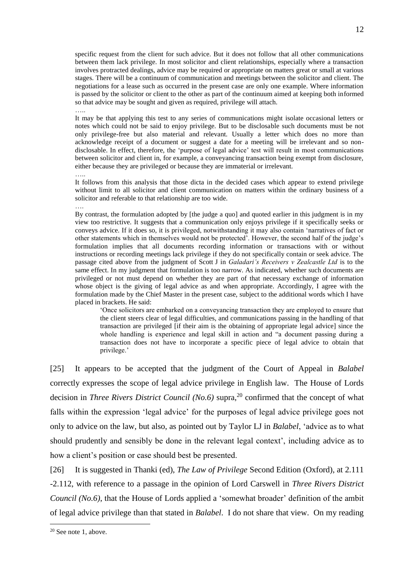specific request from the client for such advice. But it does not follow that all other communications between them lack privilege. In most solicitor and client relationships, especially where a transaction involves protracted dealings, advice may be required or appropriate on matters great or small at various stages. There will be a continuum of communication and meetings between the solicitor and client. The negotiations for a lease such as occurred in the present case are only one example. Where information is passed by the solicitor or client to the other as part of the continuum aimed at keeping both informed so that advice may be sought and given as required, privilege will attach. …

It may be that applying this test to any series of communications might isolate occasional letters or notes which could not be said to enjoy privilege. But to be disclosable such documents must be not only privilege-free but also material and relevant. Usually a letter which does no more than acknowledge receipt of a document or suggest a date for a meeting will be irrelevant and so nondisclosable. In effect, therefore, the 'purpose of legal advice' test will result in most communications between solicitor and client in, for example, a conveyancing transaction being exempt from disclosure, either because they are privileged or because they are immaterial or irrelevant.

….

It follows from this analysis that those dicta in the decided cases which appear to extend privilege without limit to all solicitor and client communication on matters within the ordinary business of a solicitor and referable to that relationship are too wide.

….

By contrast, the formulation adopted by [the judge a quo] and quoted earlier in this judgment is in my view too restrictive. It suggests that a communication only enjoys privilege if it specifically seeks or conveys advice. If it does so, it is privileged, notwithstanding it may also contain 'narratives of fact or other statements which in themselves would not be protected'. However, the second half of the judge's formulation implies that all documents recording information or transactions with or without instructions or recording meetings lack privilege if they do not specifically contain or seek advice. The passage cited above from the judgment of Scott J in *Galadari's Receivers v Zealcastle Ltd* is to the same effect. In my judgment that formulation is too narrow. As indicated, whether such documents are privileged or not must depend on whether they are part of that necessary exchange of information whose object is the giving of legal advice as and when appropriate. Accordingly, I agree with the formulation made by the Chief Master in the present case, subject to the additional words which I have placed in brackets. He said:

'Once solicitors are embarked on a conveyancing transaction they are employed to ensure that the client steers clear of legal difficulties, and communications passing in the handling of that transaction are privileged [if their aim is the obtaining of appropriate legal advice] since the whole handling is experience and legal skill in action and "a document passing during a transaction does not have to incorporate a specific piece of legal advice to obtain that privilege.'

[25] It appears to be accepted that the judgment of the Court of Appeal in *Balabel*  correctly expresses the scope of legal advice privilege in English law. The House of Lords decision in *Three Rivers District Council (No.6)* supra, <sup>20</sup> confirmed that the concept of what falls within the expression 'legal advice' for the purposes of legal advice privilege goes not only to advice on the law, but also, as pointed out by Taylor LJ in *Balabel*, 'advice as to what should prudently and sensibly be done in the relevant legal context', including advice as to how a client's position or case should best be presented.

[26] It is suggested in Thanki (ed), *The Law of Privilege* Second Edition (Oxford), at 2.111 -2.112, with reference to a passage in the opinion of Lord Carswell in *Three Rivers District Council (No.6)*, that the House of Lords applied a 'somewhat broader' definition of the ambit of legal advice privilege than that stated in *Balabel*. I do not share that view. On my reading

<sup>20</sup> See not[e 1,](#page-0-0) above.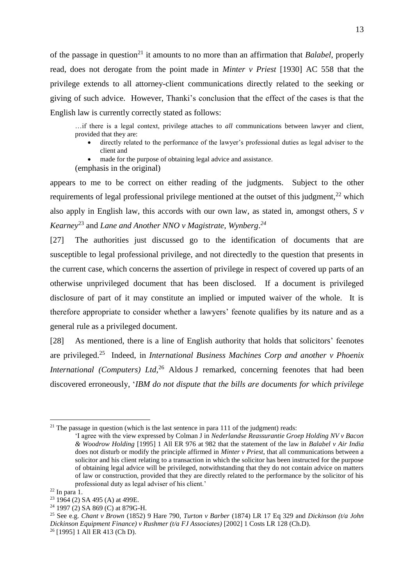of the passage in question<sup>21</sup> it amounts to no more than an affirmation that *Balabel*, properly read, does not derogate from the point made in *Minter v Priest* [1930] AC 558 that the privilege extends to all attorney-client communications directly related to the seeking or giving of such advice. However, Thanki's conclusion that the effect of the cases is that the English law is currently correctly stated as follows:

…if there is a legal context, privilege attaches to *all* communications between lawyer and client, provided that they are:

- directly related to the performance of the lawyer's professional duties as legal adviser to the client and
- made for the purpose of obtaining legal advice and assistance.

(emphasis in the original)

appears to me to be correct on either reading of the judgments. Subject to the other requirements of legal professional privilege mentioned at the outset of this judgment, $^{22}$  which also apply in English law, this accords with our own law, as stated in, amongst others, *S v Kearney*<sup>23</sup> and *Lane and Another NNO v Magistrate, Wynberg*. *24*

[27] The authorities just discussed go to the identification of documents that are susceptible to legal professional privilege, and not directedly to the question that presents in the current case, which concerns the assertion of privilege in respect of covered up parts of an otherwise unprivileged document that has been disclosed. If a document is privileged disclosure of part of it may constitute an implied or imputed waiver of the whole. It is therefore appropriate to consider whether a lawyers' feenote qualifies by its nature and as a general rule as a privileged document.

<span id="page-12-0"></span>[28] As mentioned, there is a line of English authority that holds that solicitors' feenotes are privileged.<sup>25</sup> Indeed, in *International Business Machines Corp and another v Phoenix International (Computers) Ltd*<sup>26</sup> Aldous J remarked, concerning feenotes that had been discovered erroneously, '*IBM do not dispute that the bills are documents for which privilege* 

<sup>&</sup>lt;sup>21</sup> The passage in question (which is the last sentence in para 111 of the judgment) reads:

<sup>&#</sup>x27;I agree with the view expressed by Colman J in *Nederlandse Reassurantie Groep Holding NV v Bacon & Woodrow Holding* [1995] 1 All ER 976 at 982 that the statement of the law in *Balabel v Air India*  does not disturb or modify the principle affirmed in *Minter v Priest*, that all communications between a solicitor and his client relating to a transaction in which the solicitor has been instructed for the purpose of obtaining legal advice will be privileged, notwithstanding that they do not contain advice on matters of law or construction, provided that they are directly related to the performance by the solicitor of his professional duty as legal adviser of his client.'

<sup>22</sup> In para [1.](#page-0-1)

 $23 \overline{1964}$  (2) SA 495 (A) at 499E.

<sup>24</sup> 1997 (2) SA 869 (C) at 879G-H.

<sup>25</sup> See e.g. *Chant v Brown* (1852) 9 Hare 790, *Turton v Barber* (1874) LR 17 Eq 329 and *Dickinson (t/a John Dickinson Equipment Finance) v Rushmer (t/a FJ Associates)* [2002] 1 Costs LR 128 (Ch.D).

<sup>26</sup> [1995] 1 All ER 413 (Ch D).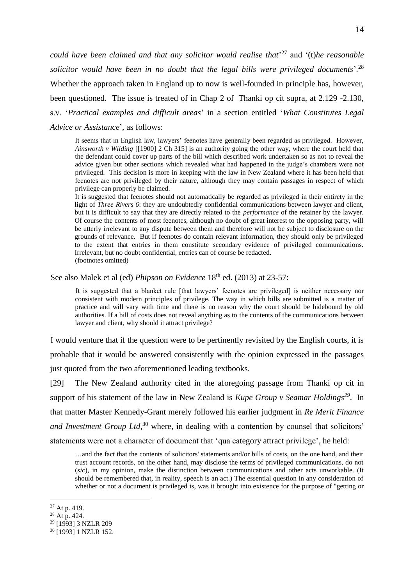*could have been claimed and that any solicitor would realise that*' <sup>27</sup> and '(t)*he reasonable solicitor would have been in no doubt that the legal bills were privileged documents*'.<sup>28</sup> Whether the approach taken in England up to now is well-founded in principle has, however, been questioned. The issue is treated of in Chap 2 of Thanki op cit supra, at 2.129 -2.130, s.v. '*Practical examples and difficult areas*' in a section entitled '*What Constitutes Legal Advice or Assistance*', as follows:

It seems that in English law, lawyers' feenotes have generally been regarded as privileged. However, *Ainsworth v Wilding* [[1900] 2 Ch 315] is an authority going the other way, where the court held that the defendant could cover up parts of the bill which described work undertaken so as not to reveal the advice given but other sections which revealed what had happened in the judge's chambers were not privileged. This decision is more in keeping with the law in New Zealand where it has been held that feenotes are not privileged by their nature, although they may contain passages in respect of which privilege can properly be claimed.

It is suggested that feenotes should not automatically be regarded as privileged in their entirety in the light of *Three Rivers 6*: they are undoubtedly confidential communications between lawyer and client, but it is difficult to say that they are directly related to the *performance* of the retainer by the lawyer. Of course the contents of most feenotes, although no doubt of great interest to the opposing party, will be utterly irrelevant to any dispute between them and therefore will not be subject to disclosure on the grounds of relevance. But if feenotes do contain relevant information, they should only be privileged to the extent that entries in them constitute secondary evidence of privileged communications. Irrelevant, but no doubt confidential, entries can of course be redacted. (footnotes omitted)

See also Malek et al (ed) *Phipson on Evidence* 18<sup>th</sup> ed. (2013) at 23-57:

It is suggested that a blanket rule [that lawyers' feenotes are privileged] is neither necessary nor consistent with modern principles of privilege. The way in which bills are submitted is a matter of practice and will vary with time and there is no reason why the court should be hidebound by old authorities. If a bill of costs does not reveal anything as to the contents of the communications between lawyer and client, why should it attract privilege?

I would venture that if the question were to be pertinently revisited by the English courts, it is probable that it would be answered consistently with the opinion expressed in the passages just quoted from the two aforementioned leading textbooks.

[29] The New Zealand authority cited in the aforegoing passage from Thanki op cit in support of his statement of the law in New Zealand is *Kupe Group v Seamar Holdings<sup>29</sup>*. In that matter Master Kennedy-Grant merely followed his earlier judgment in *Re Merit Finance*  and Investment Group Ltd,<sup>30</sup> where, in dealing with a contention by counsel that solicitors' statements were not a character of document that 'qua category attract privilege', he held:

…and the fact that the contents of solicitors' statements and/or bills of costs, on the one hand, and their trust account records, on the other hand, may disclose the terms of privileged communications, do not (*sic*), in my opinion, make the distinction between communications and other acts unworkable. (It should be remembered that, in reality, speech is an act.) The essential question in any consideration of whether or not a document is privileged is, was it brought into existence for the purpose of "getting or

 $27$  At p. 419.

 $^{28}$  At p. 424.

<sup>&</sup>lt;sup>29</sup> [1993] 3 NZLR 209

<sup>30</sup> [1993] 1 NZLR 152.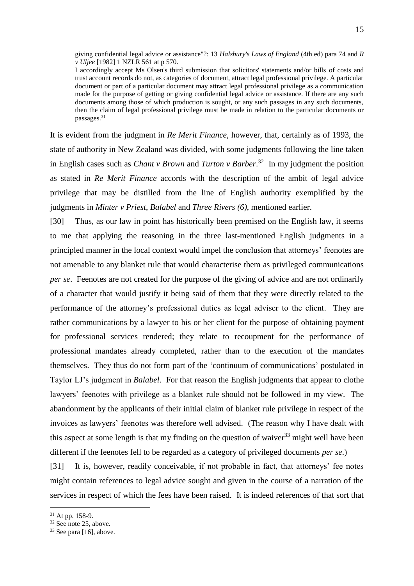giving confidential legal advice or assistance"?: 13 *Halsbury's Laws of England* (4th ed) para 74 and *R v Uljee* [1982] 1 NZLR 561 at p 570.

I accordingly accept Ms Olsen's third submission that solicitors' statements and/or bills of costs and trust account records do not, as categories of document, attract legal professional privilege. A particular document or part of a particular document may attract legal professional privilege as a communication made for the purpose of getting or giving confidential legal advice or assistance. If there are any such documents among those of which production is sought, or any such passages in any such documents, then the claim of legal professional privilege must be made in relation to the particular documents or passages.<sup>31</sup>

It is evident from the judgment in *Re Merit Finance*, however, that, certainly as of 1993, the state of authority in New Zealand was divided, with some judgments following the line taken in English cases such as *Chant v Brown* and *Turton v Barber*. 32 In my judgment the position as stated in *Re Merit Finance* accords with the description of the ambit of legal advice privilege that may be distilled from the line of English authority exemplified by the judgments in *Minter v Priest*, *Balabel* and *Three Rivers (6)*, mentioned earlier.

[30] Thus, as our law in point has historically been premised on the English law, it seems to me that applying the reasoning in the three last-mentioned English judgments in a principled manner in the local context would impel the conclusion that attorneys' feenotes are not amenable to any blanket rule that would characterise them as privileged communications *per se*. Feenotes are not created for the purpose of the giving of advice and are not ordinarily of a character that would justify it being said of them that they were directly related to the performance of the attorney's professional duties as legal adviser to the client. They are rather communications by a lawyer to his or her client for the purpose of obtaining payment for professional services rendered; they relate to recoupment for the performance of professional mandates already completed, rather than to the execution of the mandates themselves. They thus do not form part of the 'continuum of communications' postulated in Taylor LJ's judgment in *Balabel*. For that reason the English judgments that appear to clothe lawyers' feenotes with privilege as a blanket rule should not be followed in my view. The abandonment by the applicants of their initial claim of blanket rule privilege in respect of the invoices as lawyers' feenotes was therefore well advised. (The reason why I have dealt with this aspect at some length is that my finding on the question of waiver  $33$  might well have been different if the feenotes fell to be regarded as a category of privileged documents *per se*.)

[31] It is, however, readily conceivable, if not probable in fact, that attorneys' fee notes might contain references to legal advice sought and given in the course of a narration of the services in respect of which the fees have been raised. It is indeed references of that sort that

 $31$  At pp. 158-9.

<sup>32</sup> See not[e 25,](#page-12-0) above.

 $33$  See para [\[16\],](#page-8-0) above.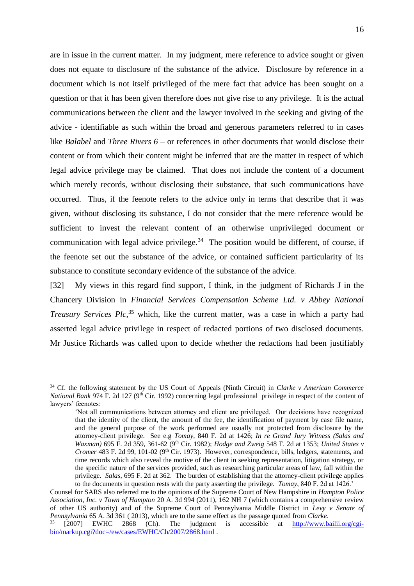are in issue in the current matter. In my judgment, mere reference to advice sought or given does not equate to disclosure of the substance of the advice. Disclosure by reference in a document which is not itself privileged of the mere fact that advice has been sought on a question or that it has been given therefore does not give rise to any privilege. It is the actual communications between the client and the lawyer involved in the seeking and giving of the advice - identifiable as such within the broad and generous parameters referred to in cases like *Balabel* and *Three Rivers 6* – or references in other documents that would disclose their content or from which their content might be inferred that are the matter in respect of which legal advice privilege may be claimed. That does not include the content of a document which merely records, without disclosing their substance, that such communications have occurred. Thus, if the feenote refers to the advice only in terms that describe that it was given, without disclosing its substance, I do not consider that the mere reference would be sufficient to invest the relevant content of an otherwise unprivileged document or communication with legal advice privilege.<sup>34</sup> The position would be different, of course, if the feenote set out the substance of the advice, or contained sufficient particularity of its substance to constitute secondary evidence of the substance of the advice.

<span id="page-15-0"></span>[32] My views in this regard find support, I think, in the judgment of Richards J in the Chancery Division in *Financial Services Compensation Scheme Ltd. v Abbey National Treasury Services Plc*, <sup>35</sup> which, like the current matter, was a case in which a party had asserted legal advice privilege in respect of redacted portions of two disclosed documents. Mr Justice Richards was called upon to decide whether the redactions had been justifiably

<sup>34</sup> Cf. the following statement by the US Court of Appeals (Ninth Circuit) in *Clarke v American Commerce National Bank* 974 F. 2d 127 (9<sup>th</sup> Cir. 1992) concerning legal professional privilege in respect of the content of lawyers' feenotes:

<sup>&#</sup>x27;Not all communications between attorney and client are privileged. Our decisions have recognized that the identity of the client, the amount of the fee, the identification of payment by case file name, and the general purpose of the work performed are usually not protected from disclosure by the attorney-client privilege. See e.g *Tomay*, 840 F. 2d at 1426; *In re Grand Jury Witness (Salas and Waxman)* 695 F. 2d 359, 361-62 (9th Cir. 1982); *Hodge and Zweig* 548 F. 2d at 1353; *United States v Cromer* 483 F. 2d 99, 101-02 (9<sup>th</sup> Cir. 1973). However, correspondence, bills, ledgers, statements, and time records which also reveal the motive of the client in seeking representation, litigation strategy, or the specific nature of the services provided, such as researching particular areas of law, fall within the privilege. *Salas*, 695 F. 2d at 362. The burden of establishing that the attorney-client privilege applies to the documents in question rests with the party asserting the privilege. *Tomay*, 840 F. 2d at 1426.'

Counsel for SARS also referred me to the opinions of the Supreme Court of New Hampshire in *Hampton Police Association, Inc. v Town of Hampton* 20 A. 3d 994 (2011), 162 NH 7 (which contains a comprehensive review of other US authority) and of the Supreme Court of Pennsylvania Middle District in *Levy v Senate of Pennsylvania* 65 A. 3d 361 ( 2013), which are to the same effect as the passage quoted from *Clarke*.

<sup>35</sup> [2007] EWHC 2868 (Ch). The judgment is accessible at [http://www.bailii.org/cgi](http://www.bailii.org/cgi-bin/markup.cgi?doc=/ew/cases/EWHC/Ch/2007/2868.html)[bin/markup.cgi?doc=/ew/cases/EWHC/Ch/2007/2868.html](http://www.bailii.org/cgi-bin/markup.cgi?doc=/ew/cases/EWHC/Ch/2007/2868.html) .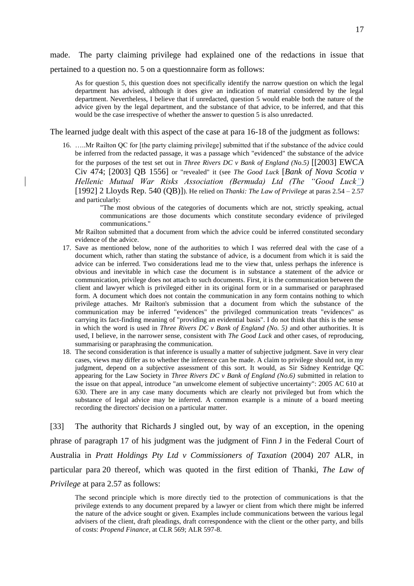made. The party claiming privilege had explained one of the redactions in issue that pertained to a question no. 5 on a questionnaire form as follows:

As for question 5, this question does not specifically identify the narrow question on which the legal department has advised, although it does give an indication of material considered by the legal department. Nevertheless, I believe that if unredacted, question 5 would enable both the nature of the advice given by the legal department, and the substance of that advice, to be inferred, and that this would be the case irrespective of whether the answer to question 5 is also unredacted.

The learned judge dealt with this aspect of the case at para 16-18 of the judgment as follows:

16. …..Mr Railton QC for [the party claiming privilege] submitted that if the substance of the advice could be inferred from the redacted passage, it was a passage which "evidenced" the substance of the advice for the purposes of the test set out in *Three Rivers DC v Bank of England (No.5)* [[2003] EWCA Civ 474; [2003] QB 1556] or "revealed" it (see *The Good Luck* [*Bank of Nova Scotia v Hellenic Mutual War Risks Association (Bermuda) Ltd (The "Good Luck")* [1992] 2 Lloyds Rep. 540 (QB)]). He relied on *Thanki: The Law of Privilege* at paras 2.54 – 2.57 and particularly:

> "The most obvious of the categories of documents which are not, strictly speaking, actual communications are those documents which constitute secondary evidence of privileged communications."

Mr Railton submitted that a document from which the advice could be inferred constituted secondary evidence of the advice.

- 17. Save as mentioned below, none of the authorities to which I was referred deal with the case of a document which, rather than stating the substance of advice, is a document from which it is said the advice can be inferred. Two considerations lead me to the view that, unless perhaps the inference is obvious and inevitable in which case the document is in substance a statement of the advice or communication, privilege does not attach to such documents. First, it is the communication between the client and lawyer which is privileged either in its original form or in a summarised or paraphrased form. A document which does not contain the communication in any form contains nothing to which privilege attaches. Mr Railton's submission that a document from which the substance of the communication may be inferred "evidences" the privileged communication treats "evidences" as carrying its fact-finding meaning of "providing an evidential basis". I do not think that this is the sense in which the word is used in *Three Rivers DC v Bank of England (No. 5)* and other authorities. It is used, I believe, in the narrower sense, consistent with *The Good Luck* and other cases, of reproducing, summarising or paraphrasing the communication.
- 18. The second consideration is that inference is usually a matter of subjective judgment. Save in very clear cases, views may differ as to whether the inference can be made. A claim to privilege should not, in my judgment, depend on a subjective assessment of this sort. It would, as Sir Sidney Kentridge QC appearing for the Law Society in *Three Rivers DC v Bank of England (No.6)* submitted in relation to the issue on that appeal, introduce "an unwelcome element of subjective uncertainty": 2005 AC 610 at 630. There are in any case many documents which are clearly not privileged but from which the substance of legal advice may be inferred. A common example is a minute of a board meeting recording the directors' decision on a particular matter.

[33] The authority that Richards J singled out, by way of an exception, in the opening phrase of paragraph 17 of his judgment was the judgment of Finn J in the Federal Court of Australia in *Pratt Holdings Pty Ltd v Commissioners of Taxation* (2004) 207 ALR, in particular para 20 thereof, which was quoted in the first edition of Thanki, *The Law of Privilege* at para 2.57 as follows:

The second principle which is more directly tied to the protection of communications is that the privilege extends to any document prepared by a lawyer or client from which there might be inferred the nature of the advice sought or given. Examples include communications between the various legal advisers of the client, draft pleadings, draft correspondence with the client or the other party, and bills of costs: *Propend Finance*, at CLR 569; ALR 597-8.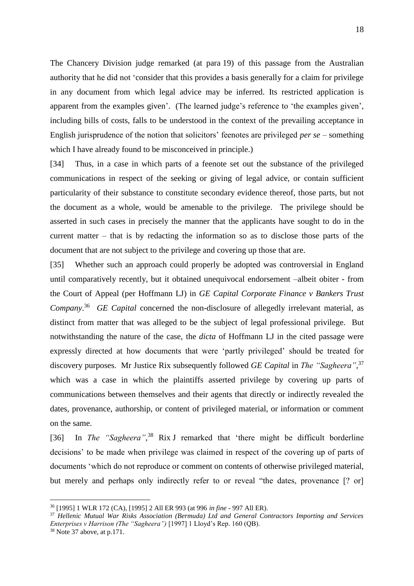The Chancery Division judge remarked (at para 19) of this passage from the Australian authority that he did not 'consider that this provides a basis generally for a claim for privilege in any document from which legal advice may be inferred. Its restricted application is apparent from the examples given'. (The learned judge's reference to 'the examples given', including bills of costs, falls to be understood in the context of the prevailing acceptance in English jurisprudence of the notion that solicitors' feenotes are privileged *per se* – something which I have already found to be misconceived in principle.)

[34] Thus, in a case in which parts of a feenote set out the substance of the privileged communications in respect of the seeking or giving of legal advice, or contain sufficient particularity of their substance to constitute secondary evidence thereof, those parts, but not the document as a whole, would be amenable to the privilege. The privilege should be asserted in such cases in precisely the manner that the applicants have sought to do in the current matter – that is by redacting the information so as to disclose those parts of the document that are not subject to the privilege and covering up those that are.

[35] Whether such an approach could properly be adopted was controversial in England until comparatively recently, but it obtained unequivocal endorsement –albeit obiter - from the Court of Appeal (per Hoffmann LJ) in *GE Capital Corporate Finance v Bankers Trust Company*. 36 *GE Capital* concerned the non-disclosure of allegedly irrelevant material, as distinct from matter that was alleged to be the subject of legal professional privilege. But notwithstanding the nature of the case, the *dicta* of Hoffmann LJ in the cited passage were expressly directed at how documents that were 'partly privileged' should be treated for discovery purposes. Mr Justice Rix subsequently followed *GE Capital* in *The "Sagheera"*, 37 which was a case in which the plaintiffs asserted privilege by covering up parts of communications between themselves and their agents that directly or indirectly revealed the dates, provenance, authorship, or content of privileged material, or information or comment on the same.

<span id="page-17-0"></span>[36] In *The "Sagheera"*, <sup>38</sup> Rix J remarked that 'there might be difficult borderline decisions' to be made when privilege was claimed in respect of the covering up of parts of documents 'which do not reproduce or comment on contents of otherwise privileged material, but merely and perhaps only indirectly refer to or reveal "the dates, provenance [? or]

<sup>36</sup> [1995] 1 WLR 172 (CA), [1995] 2 All ER 993 (at 996 *in fine* - 997 All ER).

<sup>37</sup> *Hellenic Mutual War Risks Association (Bermuda) Ltd and General Contractors Importing and Services Enterprises v Harrison (The "Sagheera")* [1997] 1 Lloyd's Rep. 160 (QB).

<sup>38</sup> Note [37](#page-17-0) above, at p.171.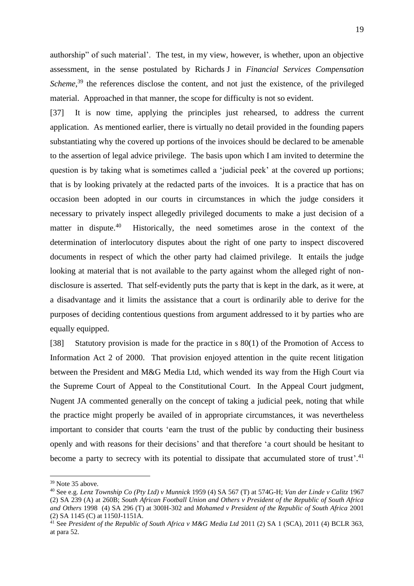authorship" of such material'. The test, in my view, however, is whether, upon an objective assessment, in the sense postulated by Richards J in *Financial Services Compensation*  Scheme,<sup>39</sup> the references disclose the content, and not just the existence, of the privileged material. Approached in that manner, the scope for difficulty is not so evident.

[37] It is now time, applying the principles just rehearsed, to address the current application. As mentioned earlier, there is virtually no detail provided in the founding papers substantiating why the covered up portions of the invoices should be declared to be amenable to the assertion of legal advice privilege. The basis upon which I am invited to determine the question is by taking what is sometimes called a 'judicial peek' at the covered up portions; that is by looking privately at the redacted parts of the invoices. It is a practice that has on occasion been adopted in our courts in circumstances in which the judge considers it necessary to privately inspect allegedly privileged documents to make a just decision of a matter in dispute.<sup>40</sup> Historically, the need sometimes arose in the context of the determination of interlocutory disputes about the right of one party to inspect discovered documents in respect of which the other party had claimed privilege. It entails the judge looking at material that is not available to the party against whom the alleged right of nondisclosure is asserted. That self-evidently puts the party that is kept in the dark, as it were, at a disadvantage and it limits the assistance that a court is ordinarily able to derive for the purposes of deciding contentious questions from argument addressed to it by parties who are equally equipped.

[38] Statutory provision is made for the practice in s 80(1) of the Promotion of Access to Information Act 2 of 2000. That provision enjoyed attention in the quite recent litigation between the President and M&G Media Ltd, which wended its way from the High Court via the Supreme Court of Appeal to the Constitutional Court. In the Appeal Court judgment, Nugent JA commented generally on the concept of taking a judicial peek, noting that while the practice might properly be availed of in appropriate circumstances, it was nevertheless important to consider that courts 'earn the trust of the public by conducting their business openly and with reasons for their decisions' and that therefore 'a court should be hesitant to become a party to secrecy with its potential to dissipate that accumulated store of trust<sup>2</sup>.<sup>41</sup>

<sup>&</sup>lt;sup>39</sup> Note [35](#page-15-0) above.

<sup>40</sup> See e.g. *Lenz Township Co (Pty Ltd) v Munnick* 1959 (4) SA 567 (T) at 574G-H; *Van der Linde v Calitz* 1967 (2) SA 239 (A) at 260B; *South African Football Union and Others v President of the Republic of South Africa and Others* 1998 (4) SA 296 (T) at 300H-302 and *Mohamed v President of the Republic of South Africa* 2001 (2) SA 1145 (C) at 1150J-1151A.

<sup>&</sup>lt;sup>41</sup> See *President of the Republic of South Africa v M&G Media Ltd* 2011 (2) SA 1 (SCA), 2011 (4) BCLR 363, at para 52.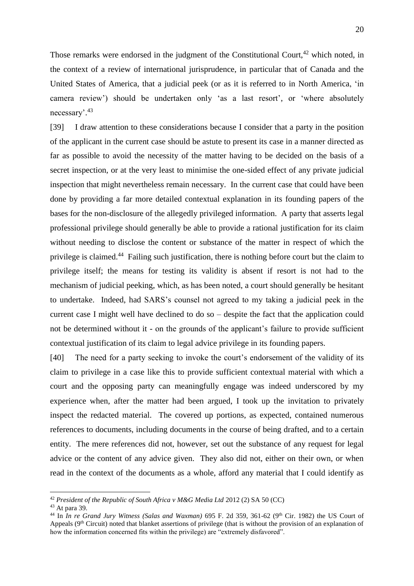Those remarks were endorsed in the judgment of the Constitutional Court,  $42$  which noted, in the context of a review of international jurisprudence, in particular that of Canada and the United States of America, that a judicial peek (or as it is referred to in North America, 'in camera review') should be undertaken only 'as a last resort', or 'where absolutely necessary'. 43

[39] I draw attention to these considerations because I consider that a party in the position of the applicant in the current case should be astute to present its case in a manner directed as far as possible to avoid the necessity of the matter having to be decided on the basis of a secret inspection, or at the very least to minimise the one-sided effect of any private judicial inspection that might nevertheless remain necessary. In the current case that could have been done by providing a far more detailed contextual explanation in its founding papers of the bases for the non-disclosure of the allegedly privileged information. A party that asserts legal professional privilege should generally be able to provide a rational justification for its claim without needing to disclose the content or substance of the matter in respect of which the privilege is claimed.<sup>44</sup> Failing such justification, there is nothing before court but the claim to privilege itself; the means for testing its validity is absent if resort is not had to the mechanism of judicial peeking, which, as has been noted, a court should generally be hesitant to undertake. Indeed, had SARS's counsel not agreed to my taking a judicial peek in the current case I might well have declined to do so – despite the fact that the application could not be determined without it - on the grounds of the applicant's failure to provide sufficient contextual justification of its claim to legal advice privilege in its founding papers.

[40] The need for a party seeking to invoke the court's endorsement of the validity of its claim to privilege in a case like this to provide sufficient contextual material with which a court and the opposing party can meaningfully engage was indeed underscored by my experience when, after the matter had been argued, I took up the invitation to privately inspect the redacted material. The covered up portions, as expected, contained numerous references to documents, including documents in the course of being drafted, and to a certain entity. The mere references did not, however, set out the substance of any request for legal advice or the content of any advice given. They also did not, either on their own, or when read in the context of the documents as a whole, afford any material that I could identify as

<sup>42</sup> *President of the Republic of South Africa v M&G Media Ltd* 2012 (2) SA 50 (CC)

<sup>43</sup> At para 39.

<sup>&</sup>lt;sup>44</sup> In *In re Grand Jury Witness (Salas and Waxman)* 695 F. 2d 359, 361-62 (9<sup>th</sup> Cir. 1982) the US Court of Appeals (9<sup>th</sup> Circuit) noted that blanket assertions of privilege (that is without the provision of an explanation of how the information concerned fits within the privilege) are "extremely disfavored".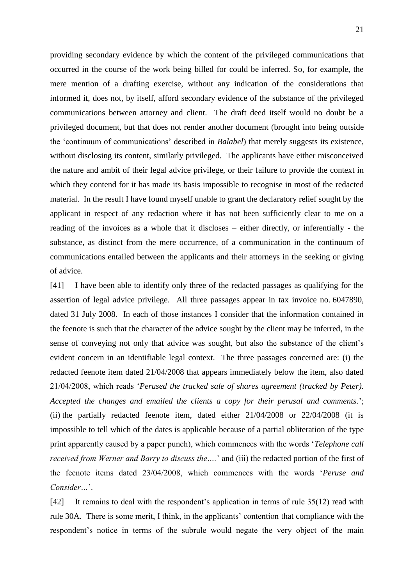providing secondary evidence by which the content of the privileged communications that occurred in the course of the work being billed for could be inferred. So, for example, the mere mention of a drafting exercise, without any indication of the considerations that informed it, does not, by itself, afford secondary evidence of the substance of the privileged communications between attorney and client. The draft deed itself would no doubt be a privileged document, but that does not render another document (brought into being outside the 'continuum of communications' described in *Balabel*) that merely suggests its existence, without disclosing its content, similarly privileged. The applicants have either misconceived the nature and ambit of their legal advice privilege, or their failure to provide the context in which they contend for it has made its basis impossible to recognise in most of the redacted material. In the result I have found myself unable to grant the declaratory relief sought by the applicant in respect of any redaction where it has not been sufficiently clear to me on a reading of the invoices as a whole that it discloses – either directly, or inferentially - the substance, as distinct from the mere occurrence, of a communication in the continuum of communications entailed between the applicants and their attorneys in the seeking or giving of advice.

[41] I have been able to identify only three of the redacted passages as qualifying for the assertion of legal advice privilege. All three passages appear in tax invoice no. 6047890, dated 31 July 2008. In each of those instances I consider that the information contained in the feenote is such that the character of the advice sought by the client may be inferred, in the sense of conveying not only that advice was sought, but also the substance of the client's evident concern in an identifiable legal context. The three passages concerned are: (i) the redacted feenote item dated 21/04/2008 that appears immediately below the item, also dated 21/04/2008, which reads '*Perused the tracked sale of shares agreement (tracked by Peter). Accepted the changes and emailed the clients a copy for their perusal and comments.*'; (ii) the partially redacted feenote item, dated either 21/04/2008 or 22/04/2008 (it is impossible to tell which of the dates is applicable because of a partial obliteration of the type print apparently caused by a paper punch), which commences with the words '*Telephone call received from Werner and Barry to discuss the….*' and (iii) the redacted portion of the first of the feenote items dated 23/04/2008, which commences with the words '*Peruse and Consider…*'.

[42] It remains to deal with the respondent's application in terms of rule 35(12) read with rule 30A. There is some merit, I think, in the applicants' contention that compliance with the respondent's notice in terms of the subrule would negate the very object of the main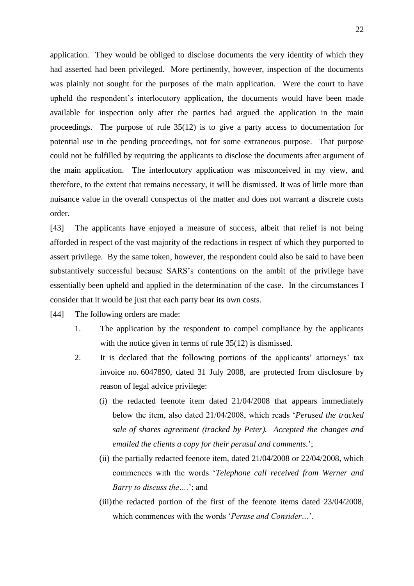application. They would be obliged to disclose documents the very identity of which they had asserted had been privileged. More pertinently, however, inspection of the documents was plainly not sought for the purposes of the main application. Were the court to have upheld the respondent's interlocutory application, the documents would have been made available for inspection only after the parties had argued the application in the main proceedings. The purpose of rule  $35(12)$  is to give a party access to documentation for potential use in the pending proceedings, not for some extraneous purpose. That purpose could not be fulfilled by requiring the applicants to disclose the documents after argument of the main application. The interlocutory application was misconceived in my view, and therefore, to the extent that remains necessary, it will be dismissed. It was of little more than nuisance value in the overall conspectus of the matter and does not warrant a discrete costs order.

[43] The applicants have enjoyed a measure of success, albeit that relief is not being afforded in respect of the vast majority of the redactions in respect of which they purported to assert privilege. By the same token, however, the respondent could also be said to have been substantively successful because SARS's contentions on the ambit of the privilege have essentially been upheld and applied in the determination of the case. In the circumstances I consider that it would be just that each party bear its own costs.

[44] The following orders are made:

- 1. The application by the respondent to compel compliance by the applicants with the notice given in terms of rule 35(12) is dismissed.
- 2. It is declared that the following portions of the applicants' attorneys' tax invoice no. 6047890, dated 31 July 2008, are protected from disclosure by reason of legal advice privilege:
	- (i) the redacted feenote item dated 21/04/2008 that appears immediately below the item, also dated 21/04/2008, which reads '*Perused the tracked sale of shares agreement (tracked by Peter). Accepted the changes and emailed the clients a copy for their perusal and comments.*';
	- (ii) the partially redacted feenote item, dated 21/04/2008 or 22/04/2008, which commences with the words '*Telephone call received from Werner and Barry to discuss the….*'; and
	- (iii)the redacted portion of the first of the feenote items dated 23/04/2008, which commences with the words '*Peruse and Consider…*'.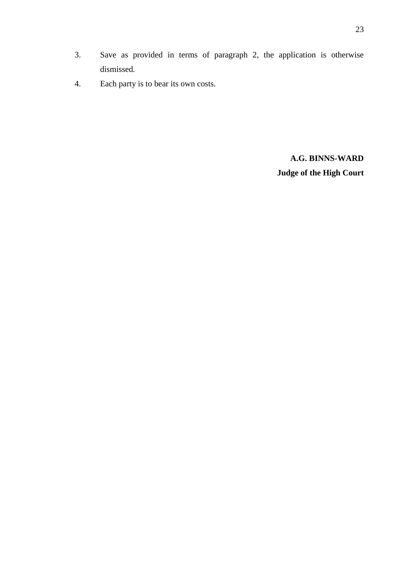4. Each party is to bear its own costs.

dismissed.

**A.G. BINNS-WARD Judge of the High Court**